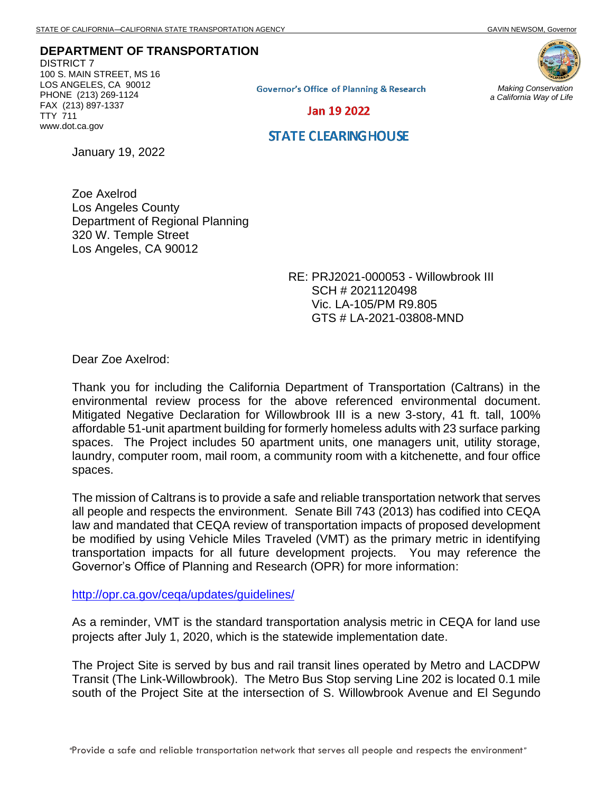**DEPARTMENT OF TRANSPORTATION**

DISTRICT 7 100 S. MAIN STREET, MS 16 LOS ANGELES, CA 90012 PHONE (213) 269-1124 FAX (213) 897-1337 TTY 711 www.dot.ca.gov

**Governor's Office of Planning & Research** 

*Making Conservation a California Way of Life*

Jan 19 2022

## **STATE CLEARING HOUSE**

January 19, 2022

Zoe Axelrod Los Angeles County Department of Regional Planning 320 W. Temple Street Los Angeles, CA 90012

> RE: PRJ2021-000053 - Willowbrook III SCH # 2021120498 Vic. LA-105/PM R9.805 GTS # LA-2021-03808-MND

Dear Zoe Axelrod:

Thank you for including the California Department of Transportation (Caltrans) in the environmental review process for the above referenced environmental document. Mitigated Negative Declaration for Willowbrook III is a new 3-story, 41 ft. tall, 100% affordable 51-unit apartment building for formerly homeless adults with 23 surface parking spaces. The Project includes 50 apartment units, one managers unit, utility storage, laundry, computer room, mail room, a community room with a kitchenette, and four office spaces.

The mission of Caltrans is to provide a safe and reliable transportation network that serves all people and respects the environment. Senate Bill 743 (2013) has codified into CEQA law and mandated that CEQA review of transportation impacts of proposed development be modified by using Vehicle Miles Traveled (VMT) as the primary metric in identifying transportation impacts for all future development projects. You may reference the Governor's Office of Planning and Research (OPR) for more information:

<http://opr.ca.gov/ceqa/updates/guidelines/>

As a reminder, VMT is the standard transportation analysis metric in CEQA for land use projects after July 1, 2020, which is the statewide implementation date.

The Project Site is served by bus and rail transit lines operated by Metro and LACDPW Transit (The Link-Willowbrook). The Metro Bus Stop serving Line 202 is located 0.1 mile south of the Project Site at the intersection of S. Willowbrook Avenue and El Segundo